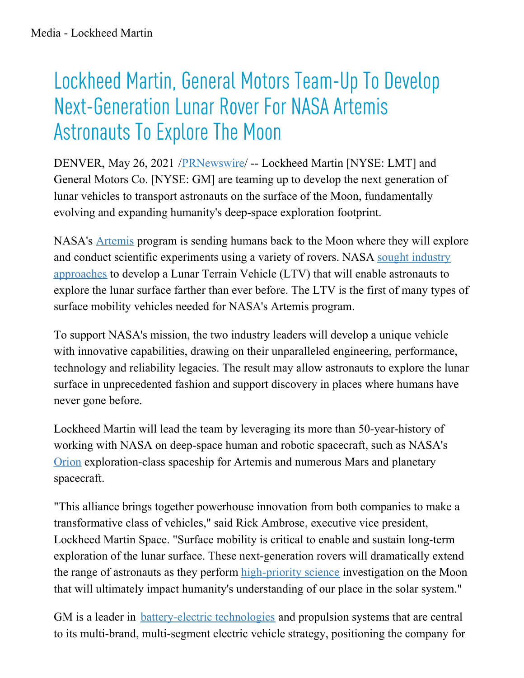## Lockheed Martin, General Motors Team-Up To Develop Next-Generation Lunar Rover For NASA Artemis Astronauts To Explore The Moon

DENVER, May 26, 2021 /*PRNewswire*/ -- Lockheed Martin [NYSE: LMT] and General Motors Co. [NYSE: GM] are teaming up to develop the next generation of lunar vehicles to transport astronauts on the surface of the Moon, fundamentally evolving and expanding humanity's deep-space exploration footprint.

NASA's [Artemis](https://c212.net/c/link/?t=0&l=en&o=3176710-1&h=1837505644&u=https%3A%2F%2Fwww.nasa.gov%2Fspecials%2Fartemis%2F&a=Artemis) program is sending humans back to the Moon where they will explore and conduct scientific [experiments](https://c212.net/c/link/?t=0&l=en&o=3176710-1&h=90696485&u=https%3A%2F%2Fwww.nasa.gov%2Ffeature%2Fnasa-to-industry-send-ideas-for-lunar-rovers%2F&a=sought+industry+approaches) using a variety of rovers. NASA sought industry approaches to develop a Lunar Terrain Vehicle (LTV) that will enable astronauts to explore the lunar surface farther than ever before. The LTV is the first of many types of surface mobility vehicles needed for NASA's Artemis program.

To support NASA's mission, the two industry leaders will develop a unique vehicle with innovative capabilities, drawing on their unparalleled engineering, performance, technology and reliability legacies. The result may allow astronauts to explore the lunar surface in unprecedented fashion and support discovery in places where humans have never gone before.

Lockheed Martin will lead the team by leveraging its more than 50-year-history of working with NASA on deep-space human and robotic spacecraft, such as NASA's [Orion](https://c212.net/c/link/?t=0&l=en&o=3176710-1&h=3385636797&u=https%3A%2F%2Fwww.lockheedmartin.com%2Fen-us%2Fproducts%2Forion.html&a=Orion) exploration-class spaceship for Artemis and numerous Mars and planetary spacecraft.

"This alliance brings together powerhouse innovation from both companies to make a transformative class of vehicles," said Rick Ambrose, executive vice president, Lockheed Martin Space. "Surface mobility is critical to enable and sustain long-term exploration of the lunar surface. These next-generation rovers will dramatically extend the range of astronauts as they perform [high-priority](https://c212.net/c/link/?t=0&l=en&o=3176710-1&h=1185084826&u=https%3A%2F%2Fwww.nasa.gov%2Fpress-release%2Fnasa-defines-science-priorities-for-first-crewed-artemis-landing-on-moon&a=high-priority+science) science investigation on the Moon that will ultimately impact humanity's understanding of our place in the solar system."

GM is a leader in **[battery-electric](https://c212.net/c/link/?t=0&l=en&o=3176710-1&h=2373320037&u=https%3A%2F%2Fwww.gm.com%2Four-stories%2Fcommitment%2Fev-battery-modular-technology.html&a=battery-electric+technologies) technologies** and propulsion systems that are central to its multi-brand, multi-segment electric vehicle strategy, positioning the company for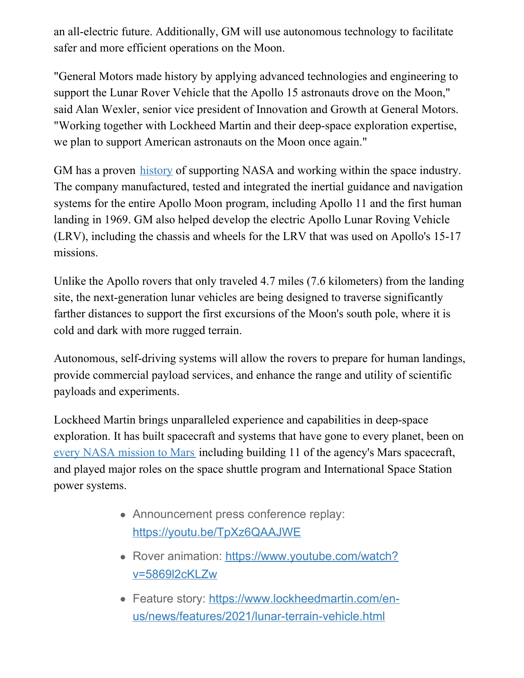an all-electric future. Additionally, GM will use autonomous technology to facilitate safer and more efficient operations on the Moon.

"General Motors made history by applying advanced technologies and engineering to support the Lunar Rover Vehicle that the Apollo 15 astronauts drove on the Moon," said Alan Wexler, senior vice president of Innovation and Growth at General Motors. "Working together with Lockheed Martin and their deep-space exploration expertise, we plan to support American astronauts on the Moon once again."

GM has a proven [history](https://c212.net/c/link/?t=0&l=en&o=3176710-1&h=1834701863&u=https%3A%2F%2Fwww.gm.com%2Four-stories%2Ftechnology%2Fgm-and-nasa-work-together.html&a=history) of supporting NASA and working within the space industry. The company manufactured, tested and integrated the inertial guidance and navigation systems for the entire Apollo Moon program, including Apollo 11 and the first human landing in 1969. GM also helped develop the electric Apollo Lunar Roving Vehicle (LRV), including the chassis and wheels for the LRV that was used on Apollo's 15-17 missions.

Unlike the Apollo rovers that only traveled 4.7 miles (7.6 kilometers) from the landing site, the next-generation lunar vehicles are being designed to traverse significantly farther distances to support the first excursions of the Moon's south pole, where it is cold and dark with more rugged terrain.

Autonomous, self-driving systems will allow the rovers to prepare for human landings, provide commercial payload services, and enhance the range and utility of scientific payloads and experiments.

Lockheed Martin brings unparalleled experience and capabilities in deep-space exploration. It has built spacecraft and systems that have gone to every planet, been on every NASA [mission](https://c212.net/c/link/?t=0&l=en&o=3176710-1&h=1841146634&u=https%3A%2F%2Fwww.lockheedmartin.com%2Fen-us%2Fcapabilities%2Fspace%2Fhuman-exploration.html&a=every+NASA+mission+to+Mars) to Mars including building 11 of the agency's Mars spacecraft, and played major roles on the space shuttle program and International Space Station power systems.

- Announcement press conference replay: [https://youtu.be/TpXz6QAAJWE](https://c212.net/c/link/?t=0&l=en&o=3176710-1&h=2806341474&u=https%3A%2F%2Fyoutu.be%2FTpXz6QAAJWE&a=https%3A%2F%2Fyoutu.be%2FTpXz6QAAJWE)
- Rover animation: [https://www.youtube.com/watch?](https://c212.net/c/link/?t=0&l=en&o=3176710-1&h=393736278&u=https%3A%2F%2Fwww.youtube.com%2Fwatch%3Fv%3D5869l2cKLZw&a=https%3A%2F%2Fwww.youtube.com%2Fwatch%3Fv%3D5869l2cKLZw) v=5869l2cKLZw
- Feature story: https://www.lockheedmartin.com/en[us/news/features/2021/lunar-terrain-vehicle.html](https://c212.net/c/link/?t=0&l=en&o=3176710-1&h=2617740822&u=https%3A%2F%2Fwww.lockheedmartin.com%2Fen-us%2Fnews%2Ffeatures%2F2021%2Flunar-terrain-vehicle.html&a=https%3A%2F%2Fwww.lockheedmartin.com%2Fen-us%2Fnews%2Ffeatures%2F2021%2Flunar-terrain-vehicle.html)